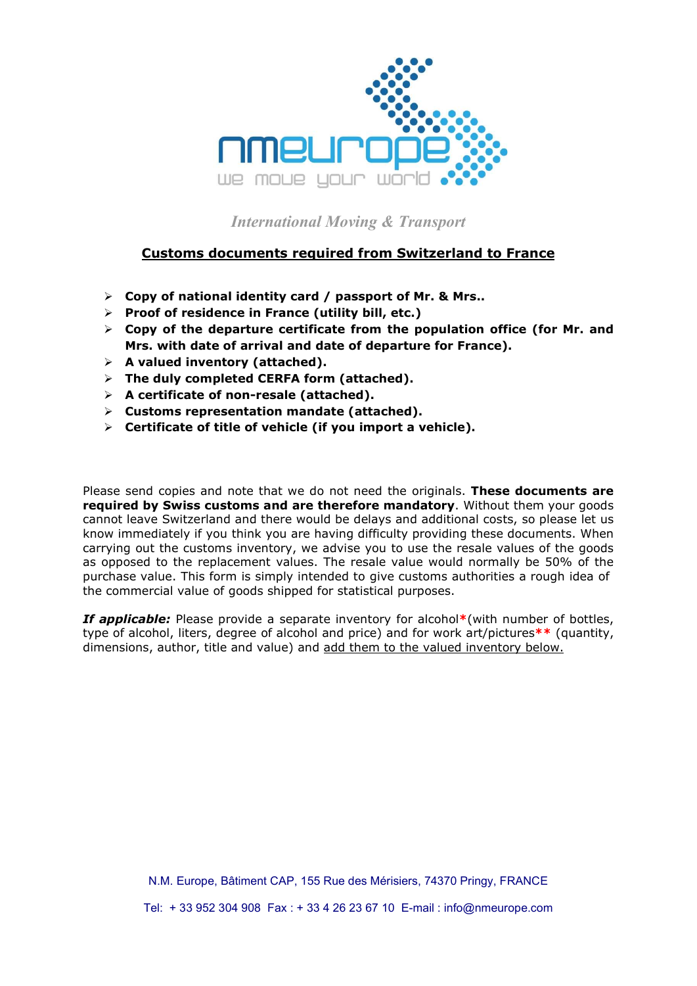

International Moving & Transport

## Customs documents required from Switzerland to France

- $\triangleright$  Copy of national identity card / passport of Mr. & Mrs..
- $\triangleright$  Proof of residence in France (utility bill, etc.)
- $\triangleright$  Copy of the departure certificate from the population office (for Mr. and Mrs. with date of arrival and date of departure for France).
- $\triangleright$  A valued inventory (attached).
- $\triangleright$  The duly completed CERFA form (attached).
- $\triangleright$  A certificate of non-resale (attached).
- $\triangleright$  Customs representation mandate (attached).
- $\triangleright$  Certificate of title of vehicle (if you import a vehicle).

Please send copies and note that we do not need the originals. These documents are required by Swiss customs and are therefore mandatory. Without them your goods cannot leave Switzerland and there would be delays and additional costs, so please let us know immediately if you think you are having difficulty providing these documents. When carrying out the customs inventory, we advise you to use the resale values of the goods as opposed to the replacement values. The resale value would normally be 50% of the purchase value. This form is simply intended to give customs authorities a rough idea of the commercial value of goods shipped for statistical purposes.

If applicable: Please provide a separate inventory for alcohol\*(with number of bottles, type of alcohol, liters, degree of alcohol and price) and for work art/pictures\*\* (quantity, dimensions, author, title and value) and add them to the valued inventory below.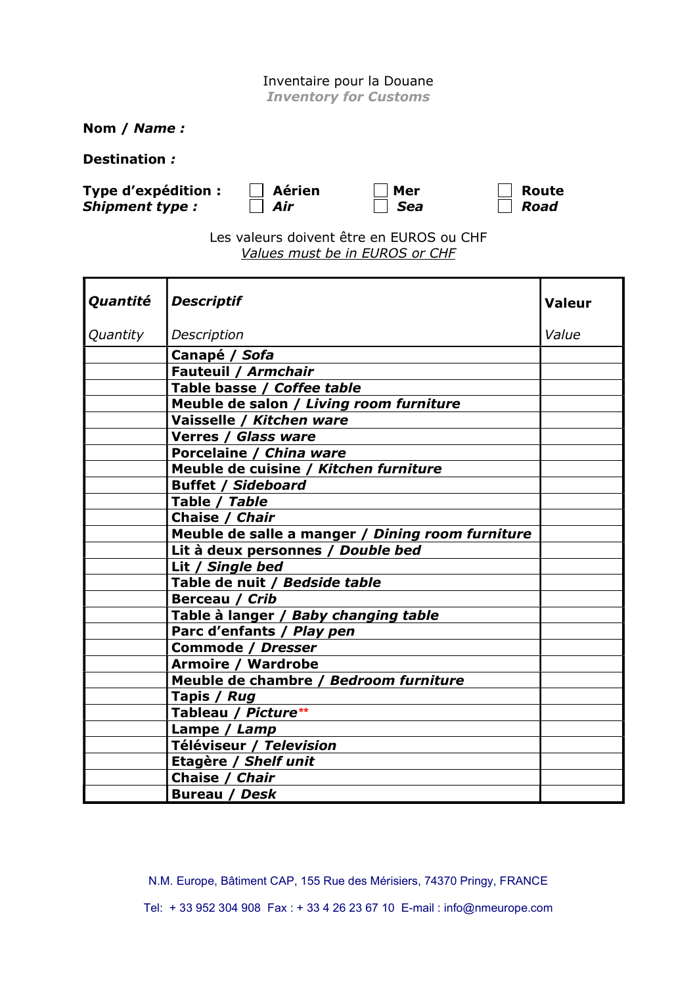## Inventaire pour la Douane

Inventory for Customs

Nom / Name :

Destination :

Type d'expédition :  $\Box$  Aérien  $\Box$  Mer  $\Box$  Route Shipment type :  $\Box$  Air  $\Box$  Sea  $\Box$  Road

| Aerie |
|-------|
| Air   |

Les valeurs doivent être en EUROS ou CHF Values must be in EUROS or CHF

| Quantité | <b>Descriptif</b>                                | <b>Valeur</b> |
|----------|--------------------------------------------------|---------------|
| Quantity | Description                                      | Value         |
|          | Canapé / Sofa                                    |               |
|          | Fauteuil / Armchair                              |               |
|          | Table basse / Coffee table                       |               |
|          | Meuble de salon / Living room furniture          |               |
|          | Vaisselle / Kitchen ware                         |               |
|          | Verres / Glass ware                              |               |
|          | Porcelaine / China ware                          |               |
|          | Meuble de cuisine / Kitchen furniture            |               |
|          | <b>Buffet / Sideboard</b>                        |               |
|          | Table / Table                                    |               |
|          | Chaise / Chair                                   |               |
|          | Meuble de salle a manger / Dining room furniture |               |
|          | Lit à deux personnes / Double bed                |               |
|          | Lit / Single bed                                 |               |
|          | Table de nuit / Bedside table                    |               |
|          | Berceau / Crib                                   |               |
|          | Table à langer / Baby changing table             |               |
|          | Parc d'enfants / Play pen                        |               |
|          | <b>Commode / Dresser</b>                         |               |
|          | <b>Armoire / Wardrobe</b>                        |               |
|          | Meuble de chambre / Bedroom furniture            |               |
|          | Tapis / Rug                                      |               |
|          | Tableau / Picture**                              |               |
|          | Lampe / Lamp                                     |               |
|          | Téléviseur / Television                          |               |
|          | Etagère / Shelf unit                             |               |
|          | Chaise / Chair                                   |               |
|          | <b>Bureau / Desk</b>                             |               |

N.M. Europe, Bâtiment CAP, 155 Rue des Mérisiers, 74370 Pringy, FRANCE Tel: + 33 952 304 908 Fax : + 33 4 26 23 67 10 E-mail : info@nmeurope.com